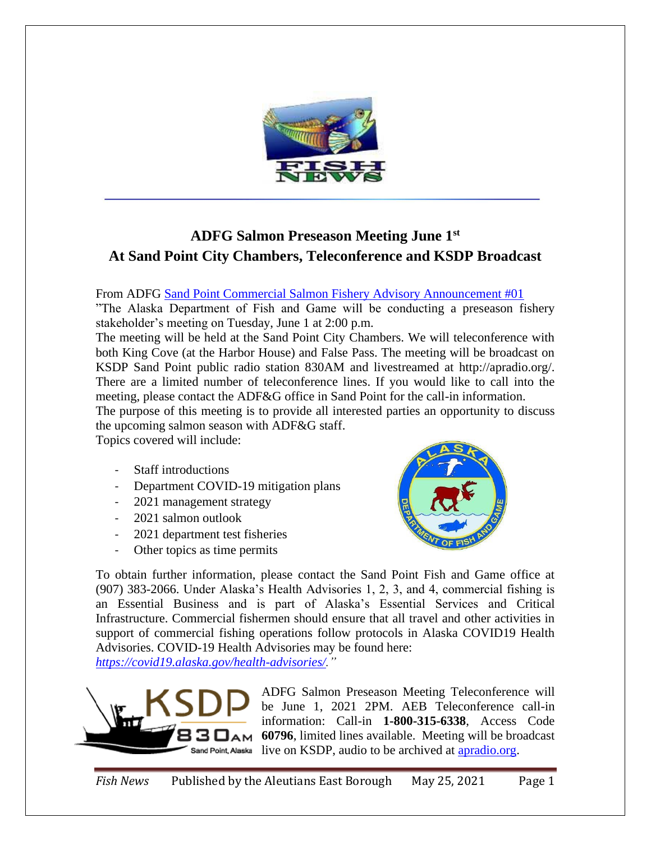

## **ADFG Salmon Preseason Meeting June 1st At Sand Point City Chambers, Teleconference and KSDP Broadcast**

From ADFG [Sand Point Commercial Salmon Fishery Advisory Announcement #01](http://www.adfg.alaska.gov/static/applications/dcfnewsrelease/1263802522.pdf)

"The Alaska Department of Fish and Game will be conducting a preseason fishery stakeholder's meeting on Tuesday, June 1 at 2:00 p.m.

The meeting will be held at the Sand Point City Chambers. We will teleconference with both King Cove (at the Harbor House) and False Pass. The meeting will be broadcast on KSDP Sand Point public radio station 830AM and livestreamed at http://apradio.org/. There are a limited number of teleconference lines. If you would like to call into the meeting, please contact the ADF&G office in Sand Point for the call-in information.

The purpose of this meeting is to provide all interested parties an opportunity to discuss the upcoming salmon season with ADF&G staff.

Topics covered will include:

- Staff introductions
- Department COVID-19 mitigation plans
- 2021 management strategy
- 2021 salmon outlook
- 2021 department test fisheries
- Other topics as time permits



To obtain further information, please contact the Sand Point Fish and Game office at (907) 383-2066. Under Alaska's Health Advisories 1, 2, 3, and 4, commercial fishing is an Essential Business and is part of Alaska's Essential Services and Critical Infrastructure. Commercial fishermen should ensure that all travel and other activities in support of commercial fishing operations follow protocols in Alaska COVID19 Health Advisories. COVID-19 Health Advisories may be found here:

*[https://covid19.alaska.gov/health-advisories/.](https://covid19.alaska.gov/health-advisories/)"*



ADFG Salmon Preseason Meeting Teleconference will be June 1, 2021 2PM. AEB Teleconference call-in information: Call-in **1-800-315-6338**, Access Code **60796**, limited lines available. Meeting will be broadcast live on KSDP, audio to be archived at [apradio.org.](http://apradio.org/)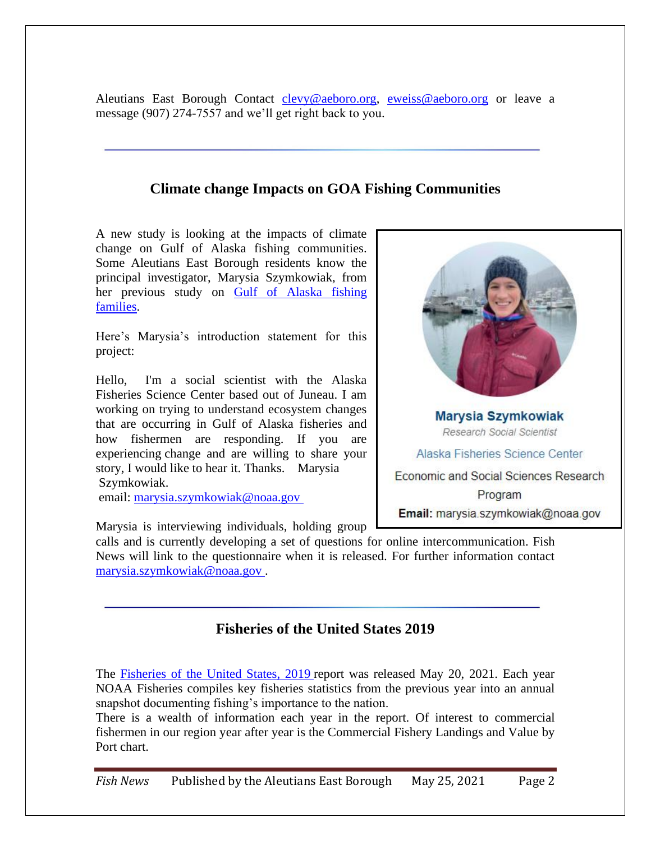Aleutians East Borough Contact [clevy@aeboro.org,](mailto:clevy@aeboro.org) [eweiss@aeboro.org](mailto:eweiss@aeboro.org) or leave a message (907) 274-7557 and we'll get right back to you.

## **Climate change Impacts on GOA Fishing Communities**

A new study is looking at the impacts of climate change on Gulf of Alaska fishing communities. Some Aleutians East Borough residents know the principal investigator, Marysia Szymkowiak, from her previous study on [Gulf of Alaska fishing](https://www.sciencedirect.com/science/article/abs/pii/S0964569120302313)  [families.](https://www.sciencedirect.com/science/article/abs/pii/S0964569120302313)

Here's Marysia's introduction statement for this project:

Hello, I'm a social scientist with the Alaska Fisheries Science Center based out of Juneau. I am working on trying to understand ecosystem changes that are occurring in Gulf of Alaska fisheries and how fishermen are responding. If you are experiencing change and are willing to share your story, I would like to hear it. Thanks. Marysia Szymkowiak.

email: [marysia.szymkowiak@noaa.gov](mailto:marysia.szymkowiak@noaa.gov )



Marysia is interviewing individuals, holding group

calls and is currently developing a set of questions for online intercommunication. Fish News will link to the questionnaire when it is released. For further information contact [marysia.szymkowiak@noaa.gov](mailto:marysia.szymkowiak@noaa.gov ) .

## **Fisheries of the United States 2019**

The [Fisheries of the United States, 2019](https://www.fisheries.noaa.gov/resource/document/fisheries-united-states-2019-report) report was released May 20, 2021. Each year NOAA Fisheries compiles key fisheries statistics from the previous year into an annual snapshot documenting fishing's importance to the nation.

There is a wealth of information each year in the report. Of interest to commercial fishermen in our region year after year is the Commercial Fishery Landings and Value by Port chart.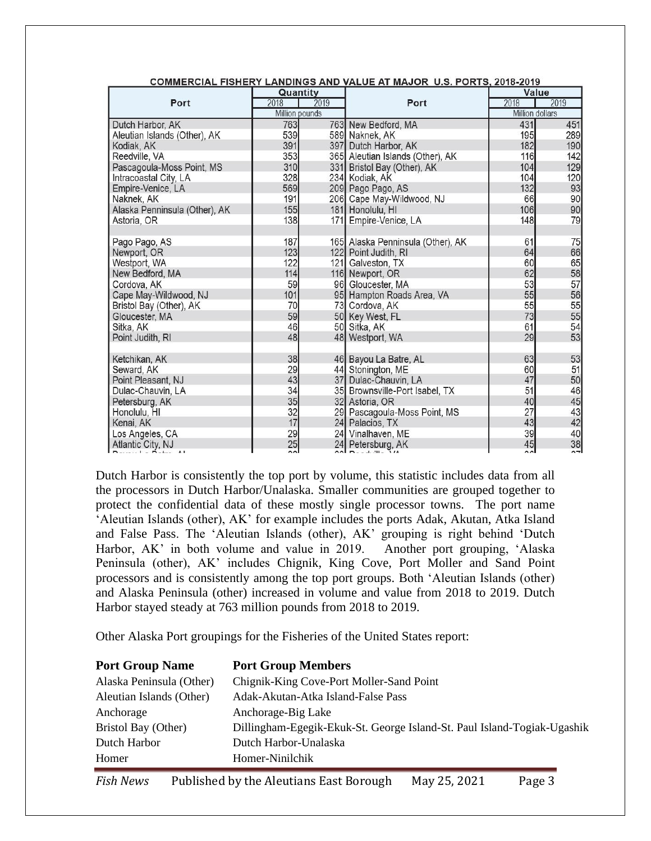|                               |                |        | COMMERCIAL FISHERT EARDINGS AND VALUE AT MAUOR 0.3. FORTS, 2010-2013 |                        |        |
|-------------------------------|----------------|--------|----------------------------------------------------------------------|------------------------|--------|
|                               | Quantity       |        |                                                                      | Value                  |        |
| Port                          | 2018           | 2019   | Port                                                                 | 2018                   | 2019   |
|                               | Million pounds |        |                                                                      | <b>Million dollars</b> |        |
| Dutch Harbor, AK              | 763            |        | 763 New Bedford, MA                                                  | 431                    | 451    |
| Aleutian Islands (Other), AK  | 539            |        | 589 Naknek, AK                                                       | 195                    | 289    |
| Kodiak, AK                    | 391            |        | 397 Dutch Harbor, AK                                                 | 182                    | 190    |
| Reedville, VA                 | 353            |        | 365 Aleutian Islands (Other), AK                                     | 116                    | 142    |
| Pascagoula-Moss Point, MS     | 310            |        | 331 Bristol Bay (Other), AK                                          | 104                    | 129    |
| Intracoastal City, LA         | 328            |        | 234 Kodiak, AK                                                       | 104                    | 120    |
| Empire-Venice, LA             | 569            |        | 209 Pago Pago, AS                                                    | 132                    | 93     |
| Naknek, AK                    | 191            |        | 206 Cape May-Wildwood, NJ                                            | 66                     | 90     |
| Alaska Penninsula (Other), AK | 155            |        | 181 Honolulu, HI                                                     | 106                    | 90     |
| Astoria, OR                   | 138            |        | 171 Empire-Venice, LA                                                | 148                    | 79     |
|                               |                |        |                                                                      |                        |        |
| Pago Pago, AS                 | 187            |        | 165 Alaska Penninsula (Other), AK                                    | 61                     | 75     |
| Newport, OR                   | 123            |        | 122 Point Judith, RI                                                 | 64                     | 66     |
| Westport, WA                  | 122            |        | 121 Galveston, TX                                                    | 60                     | 65     |
| New Bedford, MA               | 114            |        | 116 Newport, OR                                                      | 62                     | 58     |
| Cordova, AK                   | 59             |        | 96 Gloucester, MA                                                    | 53                     | 57     |
| Cape May-Wildwood, NJ         | 101            |        | 95 Hampton Roads Area, VA                                            | 55                     | 56     |
| Bristol Bay (Other), AK       | 70             |        | 73 Cordova, AK                                                       | 55                     | 55     |
| Gloucester, MA                | 59             |        | 50 Key West, FL                                                      | 73                     | 55     |
| Sitka, AK                     | 46             |        | 50 Sitka, AK                                                         | 61                     | 54     |
| Point Judith, RI              | 48             |        | 48 Westport, WA                                                      | 29                     | 53     |
|                               |                |        |                                                                      |                        |        |
| Ketchikan, AK                 | 38             |        | 46 Bayou La Batre, AL                                                | 63                     | 53     |
| Seward, AK                    | 29             |        | 44 Stonington, ME                                                    | 60                     | 51     |
| Point Pleasant, NJ            | 43             | 37     | Dulac-Chauvin, LA                                                    | 47                     | 50     |
| Dulac-Chauvin, LA             | 34             |        | 35 Brownsville-Port Isabel, TX                                       | 51                     | 46     |
| Petersburg, AK                | 35             |        | 32 Astoria, OR                                                       | 40                     | 45     |
| Honolulu, HI                  | 32             |        | 29 Pascagoula-Moss Point, MS                                         | 27                     | 43     |
| Kenai, AK                     | 17             |        | 24 Palacios, TX                                                      | 43                     | 42     |
| Los Angeles, CA               | 29             |        | 24 Vinalhaven, ME                                                    | 39                     | 40     |
| Atlantic City, NJ             | 25             |        | 24 Petersburg, AK                                                    | 45                     | 38     |
|                               | $\sim$         | $\sim$ | $-1.21$                                                              | $\sim$                 | $\sim$ |

COMMERCIAL EIGHERY LANDINGS AND VALUE AT MAJOR HIS RORTS 2049-2040

Dutch Harbor is consistently the top port by volume, this statistic includes data from all the processors in Dutch Harbor/Unalaska. Smaller communities are grouped together to protect the confidential data of these mostly single processor towns. The port name 'Aleutian Islands (other), AK' for example includes the ports Adak, Akutan, Atka Island and False Pass. The 'Aleutian Islands (other), AK' grouping is right behind 'Dutch Harbor, AK' in both volume and value in 2019. Another port grouping, 'Alaska Peninsula (other), AK' includes Chignik, King Cove, Port Moller and Sand Point processors and is consistently among the top port groups. Both 'Aleutian Islands (other) and Alaska Peninsula (other) increased in volume and value from 2018 to 2019. Dutch Harbor stayed steady at 763 million pounds from 2018 to 2019.

Other Alaska Port groupings for the Fisheries of the United States report:

| <b>Port Group Name</b>   | <b>Port Group Members</b>                                               |
|--------------------------|-------------------------------------------------------------------------|
| Alaska Peninsula (Other) | Chignik-King Cove-Port Moller-Sand Point                                |
| Aleutian Islands (Other) | Adak-Akutan-Atka Island-False Pass                                      |
| Anchorage                | Anchorage-Big Lake                                                      |
| Bristol Bay (Other)      | Dillingham-Egegik-Ekuk-St. George Island-St. Paul Island-Togiak-Ugashik |
| Dutch Harbor             | Dutch Harbor-Unalaska                                                   |
| Homer                    | Homer-Ninilchik                                                         |

*Fish News* Published by the Aleutians East Borough May 25, 2021 Page 3